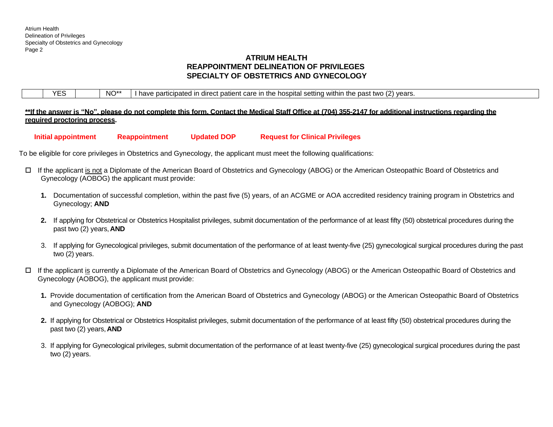# **ATRIUM HEALTH REAPPOINTMENT DELINEATION OF PRIVILEGES SPECIALTY OF OBSTETRICS AND GYNECOLOGY**

| VEC | $NO^{**}$ | I have participated in direct patient care in the hospital setting within the past two $(2)$ years. |
|-----|-----------|-----------------------------------------------------------------------------------------------------|
|     |           |                                                                                                     |

**\*\*If the answer is "No", please do not complete this form. Contact the Medical Staff Office at (704) 355-2147 for additional instructions regarding the required proctoring process.**

**Initial appointment Reappointment Updated DOP Request for Clinical Privileges**

To be eligible for core privileges in Obstetrics and Gynecology, the applicant must meet the following qualifications:

- If the applicant is not a Diplomate of the American Board of Obstetrics and Gynecology (ABOG) or the American Osteopathic Board of Obstetrics and Gynecology (AOBOG) the applicant must provide:
	- **1.** Documentation of successful completion, within the past five (5) years, of an ACGME or AOA accredited residency training program in Obstetrics and Gynecology; **AND**
	- **2.** If applying for Obstetrical or Obstetrics Hospitalist privileges, submit documentation of the performance of at least fifty (50) obstetrical procedures during the past two (2) years,**AND**
	- 3. If applying for Gynecological privileges, submit documentation of the performance of at least twenty-five (25) gynecological surgical procedures during the past two (2) years.
- If the applicant is currently a Diplomate of the American Board of Obstetrics and Gynecology (ABOG) or the American Osteopathic Board of Obstetrics and Gynecology (AOBOG), the applicant must provide:
	- **1.** Provide documentation of certification from the American Board of Obstetrics and Gynecology (ABOG) or the American Osteopathic Board of Obstetrics and Gynecology (AOBOG); **AND**
	- **2.** If applying for Obstetrical or Obstetrics Hospitalist privileges, submit documentation of the performance of at least fifty (50) obstetrical procedures during the past two (2) years,**AND**
	- 3. If applying for Gynecological privileges, submit documentation of the performance of at least twenty-five (25) gynecological surgical procedures during the past two (2) years.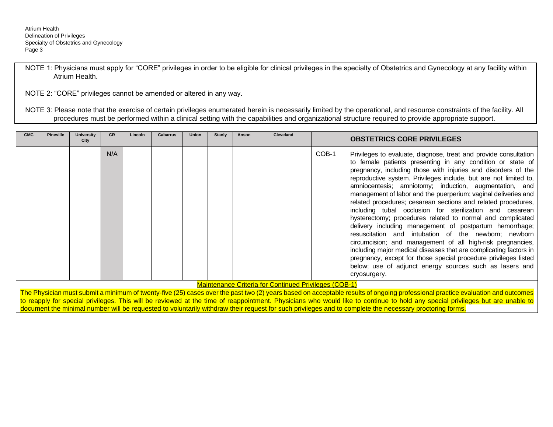NOTE 1: Physicians must apply for "CORE" privileges in order to be eligible for clinical privileges in the specialty of Obstetrics and Gynecology at any facility within Atrium Health.

NOTE 2: "CORE" privileges cannot be amended or altered in any way.

NOTE 3: Please note that the exercise of certain privileges enumerated herein is necessarily limited by the operational, and resource constraints of the facility. All procedures must be performed within a clinical setting with the capabilities and organizational structure required to provide appropriate support.

| <b>CMC</b> | <b>Pineville</b> | <b>University</b><br>City | CR  | Lincoln | <b>Cabarrus</b> | <b>Union</b> | <b>Stanly</b> | Anson | <b>Cleveland</b>                                             |       | <b>OBSTETRICS CORE PRIVILEGES</b>                                                                                                                                                                                                                                                                                                                                                                                                                                                                                                                                                                                                                                                                                                                                                                                                                                                                                                                                                              |
|------------|------------------|---------------------------|-----|---------|-----------------|--------------|---------------|-------|--------------------------------------------------------------|-------|------------------------------------------------------------------------------------------------------------------------------------------------------------------------------------------------------------------------------------------------------------------------------------------------------------------------------------------------------------------------------------------------------------------------------------------------------------------------------------------------------------------------------------------------------------------------------------------------------------------------------------------------------------------------------------------------------------------------------------------------------------------------------------------------------------------------------------------------------------------------------------------------------------------------------------------------------------------------------------------------|
|            |                  |                           | N/A |         |                 |              |               |       |                                                              | COB-1 | Privileges to evaluate, diagnose, treat and provide consultation<br>to female patients presenting in any condition or state of<br>pregnancy, including those with injuries and disorders of the<br>reproductive system. Privileges include, but are not limited to,<br>amniocentesis; amniotomy; induction, augmentation, and<br>management of labor and the puerperium; vaginal deliveries and<br>related procedures; cesarean sections and related procedures,<br>including tubal occlusion for sterilization and cesarean<br>hysterectomy; procedures related to normal and complicated<br>delivery including management of postpartum hemorrhage;<br>resuscitation and intubation of the newborn; newborn<br>circumcision; and management of all high-risk pregnancies,<br>including major medical diseases that are complicating factors in<br>pregnancy, except for those special procedure privileges listed<br>below; use of adjunct energy sources such as lasers and<br>cryosurgery. |
|            |                  |                           |     |         |                 |              |               |       | <b>Maintenance Criteria for Continued Privileges (COB-1)</b> |       | $\tau$ . Desires and other continues there for local of seconds and the later should as a model controller of continuated and controller collection and collection and collection                                                                                                                                                                                                                                                                                                                                                                                                                                                                                                                                                                                                                                                                                                                                                                                                              |

The Physician must submit a minimum of twenty-five (25) cases over the past two (2) years based on acceptable results of ongoing professional practice evaluation and outcomes to reapply for special privileges. This will be reviewed at the time of reappointment. Physicians who would like to continue to hold any special privileges but are unable to document the minimal number will be requested to voluntarily withdraw their request for such privileges and to complete the necessary proctoring forms.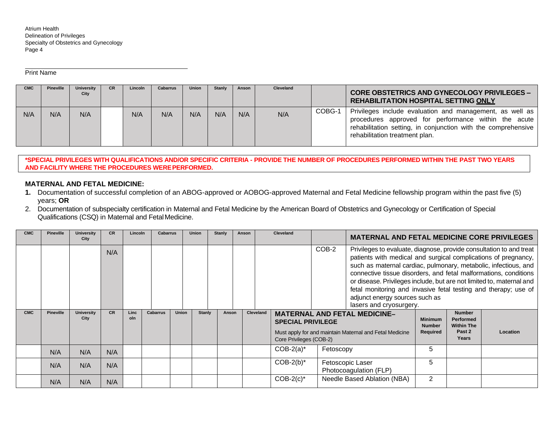Print Name

| <b>CMC</b> | Pineville | <b>University</b><br>City | <b>CR</b> | Lincoln | <b>Cabarrus</b> | <b>Union</b> | <b>Stanly</b> | Anson | Cleveland |        | <b>CORE OBSTETRICS AND GYNECOLOGY PRIVILEGES -</b><br>REHABILITATION HOSPITAL SETTING ONLY                                                                                                                          |
|------------|-----------|---------------------------|-----------|---------|-----------------|--------------|---------------|-------|-----------|--------|---------------------------------------------------------------------------------------------------------------------------------------------------------------------------------------------------------------------|
| N/A        | N/A       | N/A                       |           | N/A     | N/A             | N/A          | N/A           | N/A   | N/A       | COBG-1 | Privileges include evaluation and management, as well as<br>procedures approved for performance within the acute<br>rehabilitation setting, in conjunction with the comprehensive<br>rehabilitation treatment plan. |

**\*SPECIAL PRIVILEGES WITH QUALIFICATIONS AND/OR SPECIFIC CRITERIA - PROVIDE THE NUMBER OF PROCEDURES PERFORMED WITHIN THE PAST TWO YEARS AND FACILITY WHERE THE PROCEDURES WEREPERFORMED.**

## **MATERNAL AND FETAL MEDICINE:**

- **1.** Documentation of successful completion of an ABOG-approved or AOBOG-approved Maternal and Fetal Medicine fellowship program within the past five (5) years; **OR**
- 2. Documentation of subspecialty certification in Maternal and Fetal Medicine by the American Board of Obstetrics and Gynecology or Certification of Special Qualifications (CSQ) in Maternal and FetalMedicine.

| <b>CMC</b> | <b>Pineville</b> | <b>University</b><br>City | <b>CR</b> | Lincoln     | <b>Cabarrus</b> |              | <b>Union</b>  | <b>Stanly</b> | Anson |           | Cleveland                |           | <b>MATERNAL AND FETAL MEDICINE CORE PRIVILEGES</b>                                                                                                                                                                                                                                                                                                                                                                                                                                   |                                             |                                                                  |          |
|------------|------------------|---------------------------|-----------|-------------|-----------------|--------------|---------------|---------------|-------|-----------|--------------------------|-----------|--------------------------------------------------------------------------------------------------------------------------------------------------------------------------------------------------------------------------------------------------------------------------------------------------------------------------------------------------------------------------------------------------------------------------------------------------------------------------------------|---------------------------------------------|------------------------------------------------------------------|----------|
|            |                  |                           | N/A       |             |                 |              |               |               |       |           |                          | COB-2     | Privileges to evaluate, diagnose, provide consultation to and treat<br>patients with medical and surgical complications of pregnancy,<br>such as maternal cardiac, pulmonary, metabolic, infectious, and<br>connective tissue disorders, and fetal malformations, conditions<br>or disease. Privileges include, but are not limited to, maternal and<br>fetal monitoring and invasive fetal testing and therapy; use of<br>adjunct energy sources such as<br>lasers and cryosurgery. |                                             |                                                                  |          |
| <b>CMC</b> | <b>Pineville</b> | <b>University</b><br>City | <b>CR</b> | Linc<br>oln | <b>Cabarrus</b> | <b>Union</b> | <b>Stanly</b> | Anson         |       | Cleveland | <b>SPECIAL PRIVILEGE</b> |           | <b>MATERNAL AND FETAL MEDICINE-</b><br>Must apply for and maintain Maternal and Fetal Medicine                                                                                                                                                                                                                                                                                                                                                                                       | <b>Minimum</b><br><b>Number</b><br>Required | <b>Number</b><br><b>Performed</b><br><b>Within The</b><br>Past 2 | Location |
|            |                  |                           |           |             |                 |              |               |               |       |           | Core Privileges (COB-2)  |           |                                                                                                                                                                                                                                                                                                                                                                                                                                                                                      |                                             | Years                                                            |          |
|            | N/A              | N/A                       | N/A       |             |                 |              |               |               |       |           | $COB-2(a)^*$             | Fetoscopy |                                                                                                                                                                                                                                                                                                                                                                                                                                                                                      | 5                                           |                                                                  |          |
|            | N/A              | N/A                       | N/A       |             |                 |              |               |               |       |           | $COB-2(b)^*$             |           | Fetoscopic Laser<br>Photocoagulation (FLP)                                                                                                                                                                                                                                                                                                                                                                                                                                           | 5                                           |                                                                  |          |
|            | N/A              | N/A                       | N/A       |             |                 |              |               |               |       |           | $COB-2(c)^*$             |           | Needle Based Ablation (NBA)                                                                                                                                                                                                                                                                                                                                                                                                                                                          | 2                                           |                                                                  |          |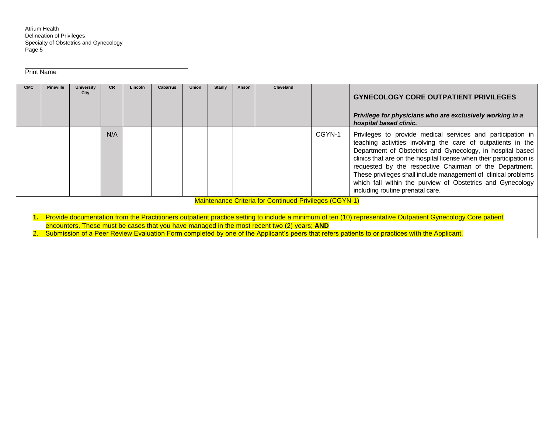Print Name

| <b>CMC</b> | <b>Pineville</b> | <b>University</b><br>City | <b>CR</b> | Lincoln | <b>Cabarrus</b> | <b>Union</b> | <b>Stanly</b> | Anson | Cleveland                                                                                                                                                    |        | <b>GYNECOLOGY CORE OUTPATIENT PRIVILEGES</b><br>Privilege for physicians who are exclusively working in a<br>hospital based clinic.                                                                                                                                                                                                                                                                                                                                                              |
|------------|------------------|---------------------------|-----------|---------|-----------------|--------------|---------------|-------|--------------------------------------------------------------------------------------------------------------------------------------------------------------|--------|--------------------------------------------------------------------------------------------------------------------------------------------------------------------------------------------------------------------------------------------------------------------------------------------------------------------------------------------------------------------------------------------------------------------------------------------------------------------------------------------------|
|            |                  |                           | N/A       |         |                 |              |               |       |                                                                                                                                                              | CGYN-1 | Privileges to provide medical services and participation in<br>teaching activities involving the care of outpatients in the<br>Department of Obstetrics and Gynecology, in hospital based<br>clinics that are on the hospital license when their participation is<br>requested by the respective Chairman of the Department.<br>These privileges shall include management of clinical problems<br>which fall within the purview of Obstetrics and Gynecology<br>including routine prenatal care. |
|            |                  |                           |           |         |                 |              |               |       | <b>Maintenance Criteria for Continued Privileges (CGYN-1)</b><br>encounters. These must be cases that you have managed in the most recent two (2) years; AND |        | 1. Provide documentation from the Practitioners outpatient practice setting to include a minimum of ten (10) representative Outpatient Gynecology Core patient<br>Submission of a Peer Review Evaluation Form completed by one of the Applicant's peers that refers patients to or practices with the Applicant.                                                                                                                                                                                 |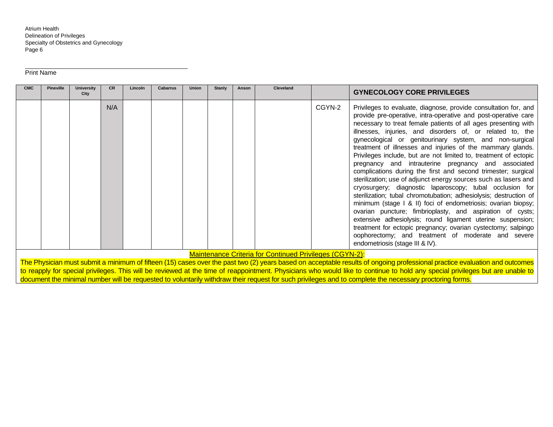Print Name

| <b>CMC</b> | <b>Pineville</b> | <b>University</b><br>City | <b>CR</b> | Lincoln | <b>Cabarrus</b> | <b>Union</b> | <b>Stanly</b> | Anson | <b>Cleveland</b>                                               |        | <b>GYNECOLOGY CORE PRIVILEGES</b>                                                                                                                                                                                                                                                                                                                                                                                                                                                                                                                                                                                                                                                                                                                                                                                                                                                                                                                                                                                                                                                                                                               |
|------------|------------------|---------------------------|-----------|---------|-----------------|--------------|---------------|-------|----------------------------------------------------------------|--------|-------------------------------------------------------------------------------------------------------------------------------------------------------------------------------------------------------------------------------------------------------------------------------------------------------------------------------------------------------------------------------------------------------------------------------------------------------------------------------------------------------------------------------------------------------------------------------------------------------------------------------------------------------------------------------------------------------------------------------------------------------------------------------------------------------------------------------------------------------------------------------------------------------------------------------------------------------------------------------------------------------------------------------------------------------------------------------------------------------------------------------------------------|
|            |                  |                           | N/A       |         |                 |              |               |       |                                                                | CGYN-2 | Privileges to evaluate, diagnose, provide consultation for, and<br>provide pre-operative, intra-operative and post-operative care<br>necessary to treat female patients of all ages presenting with<br>illnesses, injuries, and disorders of, or related to, the<br>gynecological or genitourinary system, and non-surgical<br>treatment of illnesses and injuries of the mammary glands.<br>Privileges include, but are not limited to, treatment of ectopic<br>pregnancy and intrauterine pregnancy and associated<br>complications during the first and second trimester; surgical<br>sterilization; use of adjunct energy sources such as lasers and<br>cryosurgery; diagnostic laparoscopy; tubal occlusion for<br>sterilization; tubal chromotubation; adhesiolysis; destruction of<br>minimum (stage I & II) foci of endometriosis; ovarian biopsy;<br>ovarian puncture; fimbrioplasty, and aspiration of cysts;<br>extensive adhesiolysis; round ligament uterine suspension;<br>treatment for ectopic pregnancy; ovarian cystectomy; salpingo<br>oophorectomy; and treatment of moderate and severe<br>endometriosis (stage III & IV). |
|            |                  |                           |           |         |                 |              |               |       | <b>Maintenance Criteria for Continued Privileges (CGYN-2):</b> |        |                                                                                                                                                                                                                                                                                                                                                                                                                                                                                                                                                                                                                                                                                                                                                                                                                                                                                                                                                                                                                                                                                                                                                 |
|            |                  |                           |           |         |                 |              |               |       |                                                                |        | The Physician must submit a minimum of fifteen (15) cases over the past two (2) years based on acceptable results of ongoing professional practice evaluation and outcomes                                                                                                                                                                                                                                                                                                                                                                                                                                                                                                                                                                                                                                                                                                                                                                                                                                                                                                                                                                      |
|            |                  |                           |           |         |                 |              |               |       |                                                                |        | to reapply for special privileges. This will be reviewed at the time of reappointment. Physicians who would like to continue to hold any special privileges but are unable to                                                                                                                                                                                                                                                                                                                                                                                                                                                                                                                                                                                                                                                                                                                                                                                                                                                                                                                                                                   |
|            |                  |                           |           |         |                 |              |               |       |                                                                |        | document the minimal number will be requested to voluntarily withdraw their request for such privileges and to complete the necessary proctoring forms.                                                                                                                                                                                                                                                                                                                                                                                                                                                                                                                                                                                                                                                                                                                                                                                                                                                                                                                                                                                         |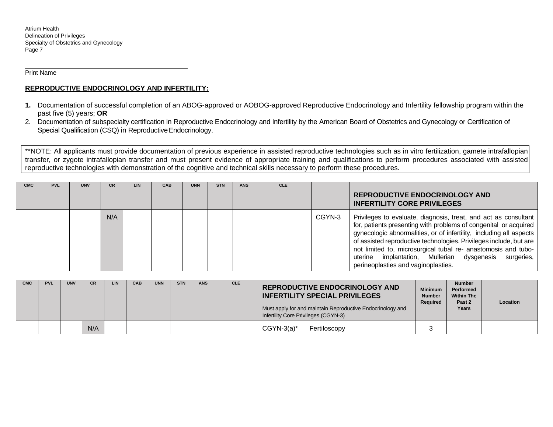Print Name

## **REPRODUCTIVE ENDOCRINOLOGY AND INFERTILITY:**

- **1.** Documentation of successful completion of an ABOG-approved or AOBOG-approved Reproductive Endocrinology and Infertility fellowship program within the past five (5) years; **OR**
- 2. Documentation of subspecialty certification in Reproductive Endocrinology and Infertility by the American Board of Obstetrics and Gynecology or Certification of Special Qualification (CSQ) in Reproductive Endocrinology.

\*\*NOTE: All applicants must provide documentation of previous experience in assisted reproductive technologies such as in vitro fertilization, gamete intrafallopian transfer, or zygote intrafallopian transfer and must present evidence of appropriate training and qualifications to perform procedures associated with assisted reproductive technologies with demonstration of the cognitive and technical skills necessary to perform these procedures.

| <b>CMC</b> | <b>PVL</b> | <b>UNV</b> | <b>CR</b> | <b>LIN</b> | CAB | <b>UNN</b> | <b>STN</b> | <b>ANS</b> | <b>CLE</b> |        | <b>REPRODUCTIVE ENDOCRINOLOGY AND</b><br><b>INFERTILITY CORE PRIVILEGES</b>                                                                                                                                                                                                                                                                                                                                                                             |
|------------|------------|------------|-----------|------------|-----|------------|------------|------------|------------|--------|---------------------------------------------------------------------------------------------------------------------------------------------------------------------------------------------------------------------------------------------------------------------------------------------------------------------------------------------------------------------------------------------------------------------------------------------------------|
|            |            |            | N/A       |            |     |            |            |            |            | CGYN-3 | Privileges to evaluate, diagnosis, treat, and act as consultant<br>for, patients presenting with problems of congenital or acquired<br>gynecologic abnormalities, or of infertility, including all aspects<br>of assisted reproductive technologies. Privileges include, but are<br>not limited to, microsurgical tubal re- anastomosis and tubo-<br>implantation, Mullerian dysgenesis<br>uterine<br>surgeries,<br>perineoplasties and vaginoplasties. |

| <b>CMC</b> | <b>PVL</b> | <b>UNV</b> | <b>CR</b> | LIN | CAB | <b>UNN</b> | <b>STN</b> | <b>ANS</b> | <b>CLE</b> | Infertility Core Privileges (CGYN-3) | <b>REPRODUCTIVE ENDOCRINOLOGY AND</b><br><b>INFERTILITY SPECIAL PRIVILEGES</b><br>Must apply for and maintain Reproductive Endocrinology and | <b>Minimum</b><br><b>Number</b><br>Required | <b>Number</b><br>Performed<br><b>Within The</b><br>Past 2<br>Years | Location |
|------------|------------|------------|-----------|-----|-----|------------|------------|------------|------------|--------------------------------------|----------------------------------------------------------------------------------------------------------------------------------------------|---------------------------------------------|--------------------------------------------------------------------|----------|
|            |            |            | N/A       |     |     |            |            |            |            | $CGYN-3(a)*$                         | Fertiloscopy                                                                                                                                 |                                             |                                                                    |          |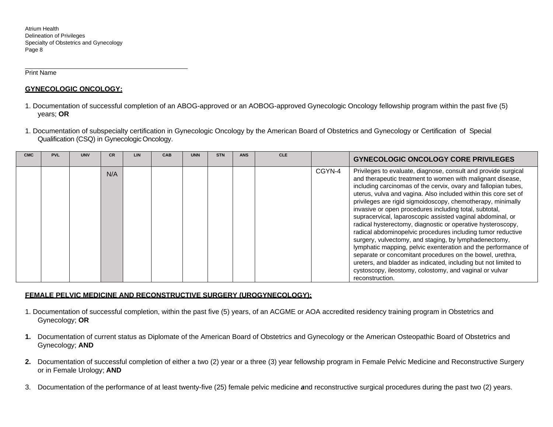Print Name

## **GYNECOLOGIC ONCOLOGY:**

- 1. Documentation of successful completion of an ABOG-approved or an AOBOG-approved Gynecologic Oncology fellowship program within the past five (5) years; **OR**
- 1. Documentation of subspecialty certification in Gynecologic Oncology by the American Board of Obstetrics and Gynecology or Certification of Special Qualification (CSQ) in Gynecologic Oncology.

| <b>CMC</b> | <b>PVL</b> | <b>UNV</b> | <b>CR</b> | <b>LIN</b> | CAB | <b>UNN</b> | <b>STN</b> | <b>ANS</b> | <b>CLE</b> |        | <b>GYNECOLOGIC ONCOLOGY CORE PRIVILEGES</b>                                                                                                                                                                                                                                                                                                                                                                                                                                                                                                                                                                                                                                                                                                                                                                                                                                                                                    |
|------------|------------|------------|-----------|------------|-----|------------|------------|------------|------------|--------|--------------------------------------------------------------------------------------------------------------------------------------------------------------------------------------------------------------------------------------------------------------------------------------------------------------------------------------------------------------------------------------------------------------------------------------------------------------------------------------------------------------------------------------------------------------------------------------------------------------------------------------------------------------------------------------------------------------------------------------------------------------------------------------------------------------------------------------------------------------------------------------------------------------------------------|
|            |            |            | N/A       |            |     |            |            |            |            | CGYN-4 | Privileges to evaluate, diagnose, consult and provide surgical<br>and therapeutic treatment to women with malignant disease,<br>including carcinomas of the cervix, ovary and fallopian tubes,<br>uterus, vulva and vagina. Also included within this core set of<br>privileges are rigid sigmoidoscopy, chemotherapy, minimally<br>invasive or open procedures including total, subtotal,<br>supracervical, laparoscopic assisted vaginal abdominal, or<br>radical hysterectomy, diagnostic or operative hysteroscopy,<br>radical abdominopelvic procedures including tumor reductive<br>surgery, vulvectomy, and staging, by lymphadenectomy,<br>lymphatic mapping, pelvic exenteration and the performance of<br>separate or concomitant procedures on the bowel, urethra,<br>ureters, and bladder as indicated, including but not limited to<br>cystoscopy, ileostomy, colostomy, and vaginal or vulvar<br>reconstruction. |

## **FEMALE PELVIC MEDICINE AND RECONSTRUCTIVE SURGERY (UROGYNECOLOGY):**

- 1. Documentation of successful completion, within the past five (5) years, of an ACGME or AOA accredited residency training program in Obstetrics and Gynecology; **OR**
- **1.** Documentation of current status as Diplomate of the American Board of Obstetrics and Gynecology or the American Osteopathic Board of Obstetrics and Gynecology; **AND**
- **2.** Documentation of successful completion of either a two (2) year or a three (3) year fellowship program in Female Pelvic Medicine and Reconstructive Surgery or in Female Urology; **AND**
- 3. Documentation of the performance of at least twenty-five (25) female pelvic medicine *a*nd reconstructive surgical procedures during the past two (2) years.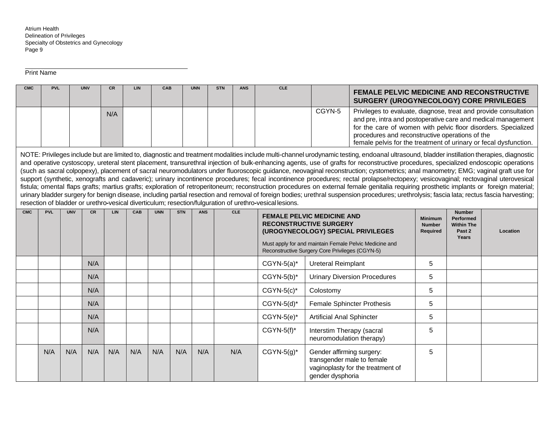Print Name

| <b>CMC</b> | <b>PVL</b> |            | <b>UNV</b> | <b>CR</b> | LIN | CAB        |            | <b>UNN</b> | <b>STN</b> | <b>ANS</b> | <b>CLE</b>                                                                                                                                                                                                                                                                                                                                                           |                                                                             | <b>FEMALE PELVIC MEDICINE AND RECONSTRUCTIVE</b><br>SURGERY (UROGYNECOLOGY) CORE PRIVILEGES                                                                                                                                                                                                                                                                                                                                                                                                                                                                                                                                                                                                                                                                                                                                                                                                                                                                                                                                                                                                                                                             |   |  |  |  |
|------------|------------|------------|------------|-----------|-----|------------|------------|------------|------------|------------|----------------------------------------------------------------------------------------------------------------------------------------------------------------------------------------------------------------------------------------------------------------------------------------------------------------------------------------------------------------------|-----------------------------------------------------------------------------|---------------------------------------------------------------------------------------------------------------------------------------------------------------------------------------------------------------------------------------------------------------------------------------------------------------------------------------------------------------------------------------------------------------------------------------------------------------------------------------------------------------------------------------------------------------------------------------------------------------------------------------------------------------------------------------------------------------------------------------------------------------------------------------------------------------------------------------------------------------------------------------------------------------------------------------------------------------------------------------------------------------------------------------------------------------------------------------------------------------------------------------------------------|---|--|--|--|
|            |            |            |            | N/A       |     |            |            |            |            |            |                                                                                                                                                                                                                                                                                                                                                                      | CGYN-5                                                                      | Privileges to evaluate, diagnose, treat and provide consultation<br>and pre, intra and postoperative care and medical management<br>for the care of women with pelvic floor disorders. Specialized<br>procedures and reconstructive operations of the<br>female pelvis for the treatment of urinary or fecal dysfunction.                                                                                                                                                                                                                                                                                                                                                                                                                                                                                                                                                                                                                                                                                                                                                                                                                               |   |  |  |  |
|            |            |            |            |           |     |            |            |            |            |            | resection of bladder or urethro-vesical diverticulum; resection/fulguration of urethro-vesical lesions.                                                                                                                                                                                                                                                              |                                                                             | NOTE: Privileges include but are limited to, diagnostic and treatment modalities include multi-channel urodynamic testing, endoanal ultrasound, bladder instillation therapies, diagnostic<br>and operative cystoscopy, ureteral stent placement, transurethral injection of bulk-enhancing agents, use of grafts for reconstructive procedures, specialized endoscopic operations<br>(such as sacral colpopexy), placement of sacral neuromodulators under fluoroscopic guidance, neovaginal reconstruction; cystometrics; anal manometry; EMG; vaginal graft use for<br>support (synthetic, xenografts and cadaveric); urinary incontinence procedures; fecal incontinence procedures; rectal prolapse/rectopexy; vesicovaginal; rectovaginal uterovesical<br>fistula; omental flaps grafts; martius grafts; exploration of retroperitoneum; reconstruction procedures on external female genitalia requiring prosthetic implants or foreign material;<br>urinary bladder surgery for benign disease, including partial resection and removal of foreign bodies; urethral suspension procedures; urethrolysis; fascia lata; rectus fascia harvesting; |   |  |  |  |
| <b>CMC</b> | <b>PVL</b> | <b>UNV</b> | <b>CR</b>  | LIN.      | CAB | <b>UNN</b> | <b>STN</b> | <b>ANS</b> |            | <b>CLE</b> | <b>Number</b><br><b>FEMALE PELVIC MEDICINE AND</b><br><b>Performed</b><br><b>Minimum</b><br><b>RECONSTRUCTIVE SURGERY</b><br><b>Number</b><br><b>Within The</b><br>(UROGYNECOLOGY) SPECIAL PRIVILEGES<br>Past 2<br><b>Required</b><br>Location<br>Years<br>Must apply for and maintain Female Pelvic Medicine and<br>Reconstructive Surgery Core Privileges (CGYN-5) |                                                                             |                                                                                                                                                                                                                                                                                                                                                                                                                                                                                                                                                                                                                                                                                                                                                                                                                                                                                                                                                                                                                                                                                                                                                         |   |  |  |  |
|            |            |            | N/A        |           |     |            |            |            |            |            | $CGYN-5(a)^*$                                                                                                                                                                                                                                                                                                                                                        | <b>Ureteral Reimplant</b>                                                   |                                                                                                                                                                                                                                                                                                                                                                                                                                                                                                                                                                                                                                                                                                                                                                                                                                                                                                                                                                                                                                                                                                                                                         | 5 |  |  |  |
|            |            |            | N/A        |           |     |            |            |            |            |            | $CGYN-5(b)^*$                                                                                                                                                                                                                                                                                                                                                        |                                                                             | <b>Urinary Diversion Procedures</b>                                                                                                                                                                                                                                                                                                                                                                                                                                                                                                                                                                                                                                                                                                                                                                                                                                                                                                                                                                                                                                                                                                                     | 5 |  |  |  |
|            |            |            | N/A        |           |     |            |            |            |            |            | $CGYN-5(c)^*$                                                                                                                                                                                                                                                                                                                                                        | Colostomy                                                                   |                                                                                                                                                                                                                                                                                                                                                                                                                                                                                                                                                                                                                                                                                                                                                                                                                                                                                                                                                                                                                                                                                                                                                         | 5 |  |  |  |
|            |            |            | N/A        |           |     |            |            |            |            |            | $CGYN-5(d)^*$                                                                                                                                                                                                                                                                                                                                                        |                                                                             | <b>Female Sphincter Prothesis</b>                                                                                                                                                                                                                                                                                                                                                                                                                                                                                                                                                                                                                                                                                                                                                                                                                                                                                                                                                                                                                                                                                                                       | 5 |  |  |  |
|            |            |            | N/A        |           |     |            |            |            |            |            | $CGYN-5(e)^*$                                                                                                                                                                                                                                                                                                                                                        | <b>Artificial Anal Sphincter</b>                                            |                                                                                                                                                                                                                                                                                                                                                                                                                                                                                                                                                                                                                                                                                                                                                                                                                                                                                                                                                                                                                                                                                                                                                         | 5 |  |  |  |
|            |            |            | N/A        |           |     |            |            |            |            |            | $CGYN-5(f)^*$                                                                                                                                                                                                                                                                                                                                                        | Interstim Therapy (sacral<br>neuromodulation therapy)                       |                                                                                                                                                                                                                                                                                                                                                                                                                                                                                                                                                                                                                                                                                                                                                                                                                                                                                                                                                                                                                                                                                                                                                         | 5 |  |  |  |
|            | N/A        | N/A        | N/A        | N/A       | N/A | N/A        | N/A        | N/A        |            | N/A        | $CGYN-5(g)^*$                                                                                                                                                                                                                                                                                                                                                        | Gender affirming surgery:<br>transgender male to female<br>gender dysphoria | vaginoplasty for the treatment of                                                                                                                                                                                                                                                                                                                                                                                                                                                                                                                                                                                                                                                                                                                                                                                                                                                                                                                                                                                                                                                                                                                       | 5 |  |  |  |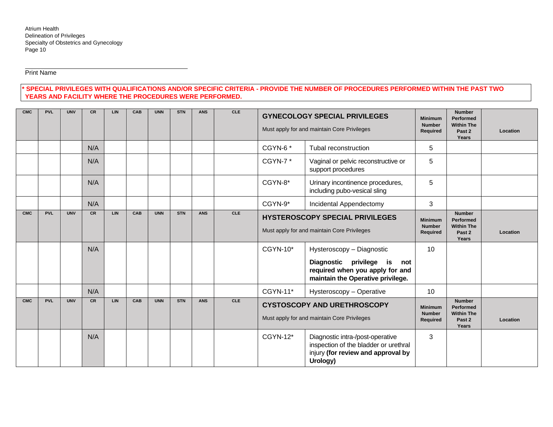Print Name

## **\* SPECIAL PRIVILEGES WITH QUALIFICATIONS AND/OR SPECIFIC CRITERIA - PROVIDE THE NUMBER OF PROCEDURES PERFORMED WITHIN THE PAST TWO YEARS AND FACILITY WHERE THE PROCEDURES WERE PERFORMED.**

| <b>CMC</b> | <b>PVL</b> | <b>UNV</b> | <b>CR</b> | LIN        | CAB | <b>UNN</b> | <b>STN</b> | <b>ANS</b> | <b>CLE</b> |                                                                                                                                         | <b>GYNECOLOGY SPECIAL PRIVILEGES</b><br>Must apply for and maintain Core Privileges                       | <b>Minimum</b><br><b>Number</b><br>Required                        | <b>Number</b><br>Performed<br><b>Within The</b><br>Past 2<br>Years | Location |
|------------|------------|------------|-----------|------------|-----|------------|------------|------------|------------|-----------------------------------------------------------------------------------------------------------------------------------------|-----------------------------------------------------------------------------------------------------------|--------------------------------------------------------------------|--------------------------------------------------------------------|----------|
|            |            |            | N/A       |            |     |            |            |            |            | CGYN-6*                                                                                                                                 | Tubal reconstruction                                                                                      | 5                                                                  |                                                                    |          |
|            |            |            | N/A       |            |     |            |            |            |            | CGYN-7*                                                                                                                                 | Vaginal or pelvic reconstructive or<br>support procedures                                                 | 5                                                                  |                                                                    |          |
|            |            |            | N/A       |            |     |            |            |            |            | CGYN-8*<br>Urinary incontinence procedures,<br>including pubo-vesical sling                                                             |                                                                                                           | 5                                                                  |                                                                    |          |
|            |            |            | N/A       |            |     |            |            |            |            | CGYN-9*<br>Incidental Appendectomy                                                                                                      |                                                                                                           | 3                                                                  |                                                                    |          |
| <b>CMC</b> | <b>PVL</b> | <b>UNV</b> | <b>CR</b> | LIN        | CAB | <b>UNN</b> | <b>STN</b> | <b>ANS</b> | <b>CLE</b> | <b>HYSTEROSCOPY SPECIAL PRIVILEGES</b><br>Must apply for and maintain Core Privileges                                                   | <b>Minimum</b><br><b>Number</b><br>Required                                                               | <b>Number</b><br>Performed<br><b>Within The</b><br>Past 2<br>Years | Location                                                           |          |
|            |            |            | N/A       |            |     |            |            |            |            | $CGYN-10*$                                                                                                                              | Hysteroscopy - Diagnostic                                                                                 | 10                                                                 |                                                                    |          |
|            |            |            |           |            |     |            |            |            |            |                                                                                                                                         | Diagnostic privilege<br>is<br>not<br>required when you apply for and<br>maintain the Operative privilege. |                                                                    |                                                                    |          |
|            |            |            | N/A       |            |     |            |            |            |            | CGYN-11*                                                                                                                                | Hysteroscopy - Operative                                                                                  | 10                                                                 |                                                                    |          |
| <b>CMC</b> | <b>PVL</b> | <b>UNV</b> | <b>CR</b> | <b>LIN</b> | CAB | <b>UNN</b> | <b>STN</b> | <b>ANS</b> | <b>CLE</b> | <b>CYSTOSCOPY AND URETHROSCOPY</b><br>Must apply for and maintain Core Privileges                                                       |                                                                                                           | <b>Minimum</b><br><b>Number</b><br>Required                        | <b>Number</b><br>Performed<br><b>Within The</b><br>Past 2<br>Years | Location |
|            |            |            | N/A       |            |     |            |            |            |            | CGYN-12*<br>Diagnostic intra-/post-operative<br>inspection of the bladder or urethral<br>injury (for review and approval by<br>Urology) |                                                                                                           | 3                                                                  |                                                                    |          |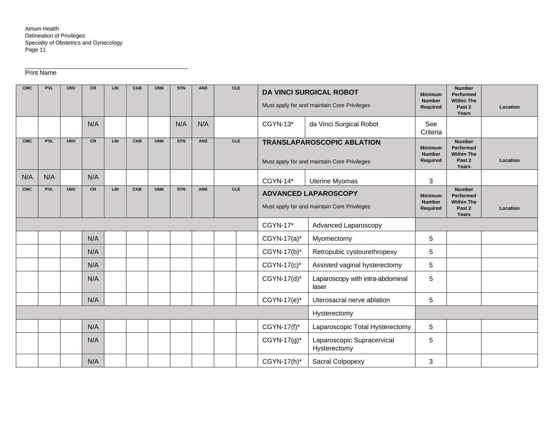# Print Name

| <b>CMC</b> | <b>PVL</b> | <b>UNV</b> | <b>CR</b> | LIN        | <b>CAB</b> | <b>UNN</b> | <b>STN</b> | <b>ANS</b> | <b>CLE</b> |                                                                            | <b>DA VINCI SURGICAL ROBOT</b><br>Must apply for and maintain Core Privileges    | <b>Minimum</b><br><b>Number</b><br>Required | <b>Number</b><br><b>Performed</b><br><b>Within The</b><br>Past 2<br>Years | Location |
|------------|------------|------------|-----------|------------|------------|------------|------------|------------|------------|----------------------------------------------------------------------------|----------------------------------------------------------------------------------|---------------------------------------------|---------------------------------------------------------------------------|----------|
|            |            |            | N/A       |            |            |            | N/A        | N/A        |            | CGYN-13*                                                                   | da Vinci Surgical Robot                                                          | See<br>Criteria                             |                                                                           |          |
| <b>CMC</b> | <b>PVL</b> | <b>UNV</b> | <b>CR</b> | <b>LIN</b> | CAB        | <b>UNN</b> | <b>STN</b> | <b>ANS</b> | CLE        |                                                                            | <b>TRANSLAPAROSCOPIC ABLATION</b><br>Must apply for and maintain Core Privileges | <b>Minimum</b><br><b>Number</b><br>Required | <b>Number</b><br><b>Performed</b><br><b>Within The</b><br>Past 2<br>Years | Location |
| N/A        | N/A        |            | N/A       |            |            |            |            |            |            | CGYN-14*                                                                   | <b>Uterine Myomas</b>                                                            | 3                                           |                                                                           |          |
| <b>CMC</b> | <b>PVL</b> | <b>UNV</b> | <b>CR</b> | <b>LIN</b> | <b>CAB</b> | <b>UNN</b> | <b>STN</b> | <b>ANS</b> | <b>CLE</b> | <b>ADVANCED LAPAROSCOPY</b><br>Must apply for and maintain Core Privileges |                                                                                  | <b>Minimum</b><br><b>Number</b><br>Required | <b>Number</b><br>Performed<br><b>Within The</b><br>Past 2<br>Years        | Location |
|            |            |            |           |            |            |            |            |            |            | <b>CGYN-17*</b>                                                            | Advanced Laparoscopy                                                             |                                             |                                                                           |          |
|            |            |            | N/A       |            |            |            |            |            |            | $CGYN-17(a)^*$                                                             | Myomectomy                                                                       | 5                                           |                                                                           |          |
|            |            |            | N/A       |            |            |            |            |            |            | CGYN-17(b)*                                                                | Retropubic cystourethropexy                                                      | 5                                           |                                                                           |          |
|            |            |            | N/A       |            |            |            |            |            |            | $CGYN-17(c)^*$                                                             | Assisted vaginal hysterectomy                                                    | 5                                           |                                                                           |          |
|            |            |            | N/A       |            |            |            |            |            |            | CGYN-17(d)*                                                                | Laparoscopy with intra-abdominal<br>laser                                        | 5                                           |                                                                           |          |
|            |            |            | N/A       |            |            |            |            |            |            | CGYN-17(e)*                                                                | Uterosacral nerve ablation                                                       | 5                                           |                                                                           |          |
|            |            |            |           |            |            |            |            |            |            | Hysterectomy                                                               |                                                                                  |                                             |                                                                           |          |
|            |            |            | N/A       |            |            |            |            |            |            | CGYN-17(f)*                                                                | Laparoscopic Total Hysterectomy                                                  | 5                                           |                                                                           |          |
|            |            |            | N/A       |            |            |            |            |            |            | CGYN-17(g)*                                                                | Laparoscopic Supracervical<br>Hysterectomy                                       | 5                                           |                                                                           |          |
|            |            |            | N/A       |            |            |            |            |            |            | CGYN-17(h)*                                                                | Sacral Colpopexy                                                                 | 3                                           |                                                                           |          |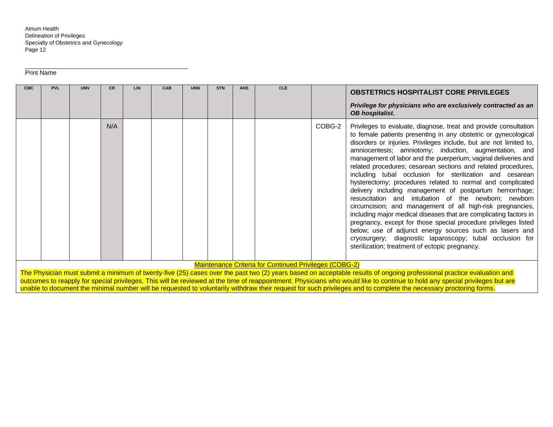Print Name

| <b>CMC</b>                                                                                                                                                                                                                             | <b>PVL</b> | <b>UNV</b> | <b>CR</b> | <b>LIN</b> | CAB | <b>UNN</b> | <b>STN</b> | <b>ANS</b> | <b>CLE</b> |        | <b>OBSTETRICS HOSPITALIST CORE PRIVILEGES</b>                                                                                                                                                                                                                                                                                                                                                                                                                                                                                                                                                                                                                                                                                                                                                                                                                                                                                                                                                                                      |
|----------------------------------------------------------------------------------------------------------------------------------------------------------------------------------------------------------------------------------------|------------|------------|-----------|------------|-----|------------|------------|------------|------------|--------|------------------------------------------------------------------------------------------------------------------------------------------------------------------------------------------------------------------------------------------------------------------------------------------------------------------------------------------------------------------------------------------------------------------------------------------------------------------------------------------------------------------------------------------------------------------------------------------------------------------------------------------------------------------------------------------------------------------------------------------------------------------------------------------------------------------------------------------------------------------------------------------------------------------------------------------------------------------------------------------------------------------------------------|
|                                                                                                                                                                                                                                        |            |            |           |            |     |            |            |            |            |        | Privilege for physicians who are exclusively contracted as an<br><b>OB hospitalist.</b>                                                                                                                                                                                                                                                                                                                                                                                                                                                                                                                                                                                                                                                                                                                                                                                                                                                                                                                                            |
|                                                                                                                                                                                                                                        |            |            | N/A       |            |     |            |            |            |            | COBG-2 | Privileges to evaluate, diagnose, treat and provide consultation<br>to female patients presenting in any obstetric or gynecological<br>disorders or injuries. Privileges include, but are not limited to,<br>amniocentesis; amniotomy; induction, augmentation, and<br>management of labor and the puerperium; vaginal deliveries and<br>related procedures; cesarean sections and related procedures,<br>including tubal occlusion for sterilization and cesarean<br>hysterectomy; procedures related to normal and complicated<br>delivery including management of postpartum hemorrhage;<br>resuscitation and intubation of the newborn; newborn<br>circumcision; and management of all high-risk pregnancies,<br>including major medical diseases that are complicating factors in<br>pregnancy, except for those special procedure privileges listed<br>below; use of adjunct energy sources such as lasers and<br>cryosurgery; diagnostic laparoscopy; tubal occlusion for<br>sterilization; treatment of ectopic pregnancy. |
| <b>Maintenance Criteria for Continued Privileges (COBG-2)</b><br>The Physician must submit a minimum of twenty-five (25) cases over the past two (2) years based on acceptable results of opgoing professional practice evaluation and |            |            |           |            |     |            |            |            |            |        |                                                                                                                                                                                                                                                                                                                                                                                                                                                                                                                                                                                                                                                                                                                                                                                                                                                                                                                                                                                                                                    |

The Physician must submit a minimum of twenty-five (25) cases over the past two (2) years based on acceptable results of ongoing professional practice evaluation and outcomes to reapply for special privileges. This will be reviewed at the time of reappointment. Physicians who would like to continue to hold any special privileges but are unable to document the minimal number will be requested to voluntarily withdraw their request for such privileges and to complete the necessary proctoring forms.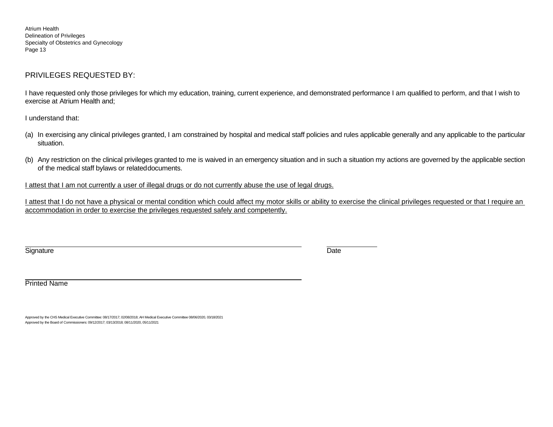# PRIVILEGES REQUESTED BY:

I have requested only those privileges for which my education, training, current experience, and demonstrated performance I am qualified to perform, and that I wish to exercise at Atrium Health and;

I understand that:

- (a) In exercising any clinical privileges granted, I am constrained by hospital and medical staff policies and rules applicable generally and any applicable to the particular situation.
- (b) Any restriction on the clinical privileges granted to me is waived in an emergency situation and in such a situation my actions are governed by the applicable section of the medical staff bylaws or relateddocuments.

I attest that I am not currently a user of illegal drugs or do not currently abuse the use of legal drugs.

I attest that I do not have a physical or mental condition which could affect my motor skills or ability to exercise the clinical privileges requested or that I require an accommodation in order to exercise the privileges requested safely and competently.

Signature **Date** 

Printed Name

Approved by the CHS Medical Executive Committee: 08/17/2017; 02/08/2018; AH Medical Executive Committee 08/06/2020, 03/18/2021 Approved by the Board of Commissioners: 09/12/2017; 03/13/2018; 08/11/2020, 05/11/2021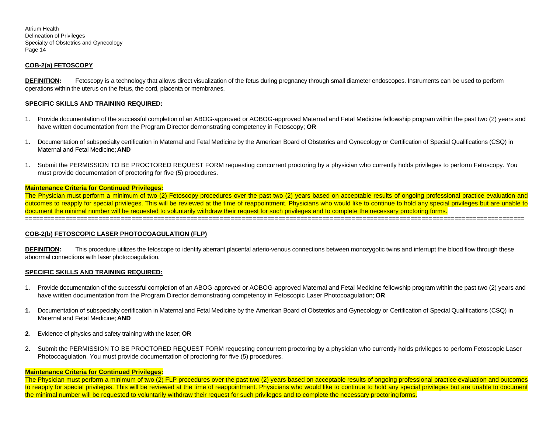#### **COB-2(a) FETOSCOPY**

**DEFINITION:** Fetoscopy is a technology that allows direct visualization of the fetus during pregnancy through small diameter endoscopes. Instruments can be used to perform operations within the uterus on the fetus, the cord, placenta or membranes.

#### **SPECIFIC SKILLS AND TRAINING REQUIRED:**

- 1. Provide documentation of the successful completion of an ABOG-approved or AOBOG-approved Maternal and Fetal Medicine fellowship program within the past two (2) years and have written documentation from the Program Director demonstrating competency in Fetoscopy; **OR**
- 1. Documentation of subspecialty certification in Maternal and Fetal Medicine by the American Board of Obstetrics and Gynecology or Certification of Special Qualifications (CSQ) in Maternal and Fetal Medicine;**AND**
- 1. Submit the PERMISSION TO BE PROCTORED REQUEST FORM requesting concurrent proctoring by a physician who currently holds privileges to perform Fetoscopy. You must provide documentation of proctoring for five (5) procedures.

#### **Maintenance Criteria for Continued Privileges:**

The Physician must perform a minimum of two (2) Fetoscopy procedures over the past two (2) years based on acceptable results of ongoing professional practice evaluation and outcomes to reapply for special privileges. This will be reviewed at the time of reappointment. Physicians who would like to continue to hold any special privileges but are unable to document the minimal number will be requested to voluntarily withdraw their request for such privileges and to complete the necessary proctoring forms. ========================================================================================================================================

#### **COB-2(b) FETOSCOPIC LASER PHOTOCOAGULATION (FLP)**

**DEFINITION:** This procedure utilizes the fetoscope to identify aberrant placental arterio-venous connections between monozygotic twins and interrupt the blood flow through these abnormal connections with laser photocoagulation.

#### **SPECIFIC SKILLS AND TRAINING REQUIRED:**

- 1. Provide documentation of the successful completion of an ABOG-approved or AOBOG-approved Maternal and Fetal Medicine fellowship program within the past two (2) years and have written documentation from the Program Director demonstrating competency in Fetoscopic Laser Photocoagulation; **OR**
- **1.** Documentation of subspecialty certification in Maternal and Fetal Medicine by the American Board of Obstetrics and Gynecology or Certification of Special Qualifications (CSQ) in Maternal and Fetal Medicine;**AND**
- **2.** Evidence of physics and safety training with the laser; **OR**
- 2. Submit the PERMISSION TO BE PROCTORED REQUEST FORM requesting concurrent proctoring by a physician who currently holds privileges to perform Fetoscopic Laser Photocoagulation. You must provide documentation of proctoring for five (5) procedures.

#### **Maintenance Criteria for Continued Privileges:**

The Physician must perform a minimum of two (2) FLP procedures over the past two (2) years based on acceptable results of ongoing professional practice evaluation and outcomes to reapply for special privileges. This will be reviewed at the time of reappointment. Physicians who would like to continue to hold any special privileges but are unable to document the minimal number will be requested to voluntarily withdraw their request for such privileges and to complete the necessary proctoring forms.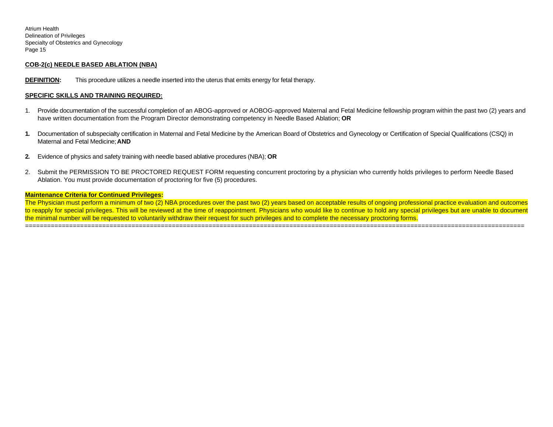#### **COB-2(c) NEEDLE BASED ABLATION (NBA)**

**DEFINITION:** This procedure utilizes a needle inserted into the uterus that emits energy for fetal therapy.

#### **SPECIFIC SKILLS AND TRAINING REQUIRED:**

- 1. Provide documentation of the successful completion of an ABOG-approved or AOBOG-approved Maternal and Fetal Medicine fellowship program within the past two (2) years and have written documentation from the Program Director demonstrating competency in Needle Based Ablation; **OR**
- **1.** Documentation of subspecialty certification in Maternal and Fetal Medicine by the American Board of Obstetrics and Gynecology or Certification of Special Qualifications (CSQ) in Maternal and Fetal Medicine;**AND**
- **2.** Evidence of physics and safety training with needle based ablative procedures (NBA); **OR**
- 2. Submit the PERMISSION TO BE PROCTORED REQUEST FORM requesting concurrent proctoring by a physician who currently holds privileges to perform Needle Based Ablation. You must provide documentation of proctoring for five (5) procedures.

#### **Maintenance Criteria for Continued Privileges:**

The Physician must perform a minimum of two (2) NBA procedures over the past two (2) years based on acceptable results of ongoing professional practice evaluation and outcomes to reapply for special privileges. This will be reviewed at the time of reappointment. Physicians who would like to continue to hold any special privileges but are unable to document the minimal number will be requested to voluntarily withdraw their request for such privileges and to complete the necessary proctoring forms. ========================================================================================================================================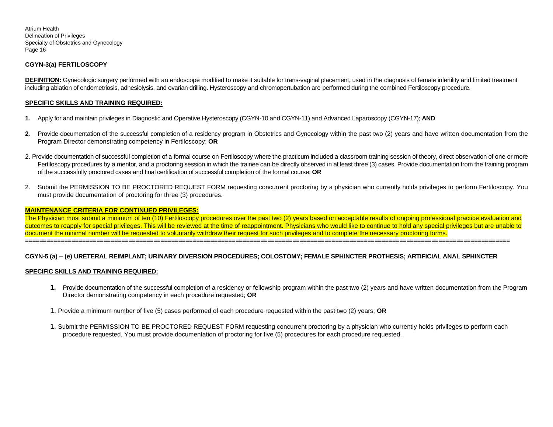## **CGYN-3(a) FERTILOSCOPY**

DEFINITION: Gynecologic surgery performed with an endoscope modified to make it suitable for trans-vaginal placement, used in the diagnosis of female infertility and limited treatment including ablation of endometriosis, adhesiolysis, and ovarian drilling. Hysteroscopy and chromopertubation are performed during the combined Fertiloscopy procedure.

## **SPECIFIC SKILLS AND TRAINING REQUIRED:**

- **1.** Apply for and maintain privileges in Diagnostic and Operative Hysteroscopy (CGYN-10 and CGYN-11) and Advanced Laparoscopy (CGYN-17); **AND**
- **2.** Provide documentation of the successful completion of a residency program in Obstetrics and Gynecology within the past two (2) years and have written documentation from the Program Director demonstrating competency in Fertiloscopy; **OR**
- 2. Provide documentation of successful completion of a formal course on Fertiloscopy where the practicum included a classroom training session of theory, direct observation of one or more Fertiloscopy procedures by a mentor, and a proctoring session in which the trainee can be directly observed in at least three (3) cases. Provide documentation from the training program of the successfully proctored cases and final certification of successful completion of the formal course; **OR**
- 2. Submit the PERMISSION TO BE PROCTORED REQUEST FORM requesting concurrent proctoring by a physician who currently holds privileges to perform Fertiloscopy. You must provide documentation of proctoring for three (3) procedures.

## **MAINTENANCE CRITERIA FOR CONTINUED PRIVILEGES:**

The Physician must submit a minimum of ten (10) Fertiloscopy procedures over the past two (2) years based on acceptable results of ongoing professional practice evaluation and outcomes to reapply for special privileges. This will be reviewed at the time of reappointment. Physicians who would like to continue to hold any special privileges but are unable to document the minimal number will be requested to voluntarily withdraw their request for such privileges and to complete the necessary proctoring forms. **========================================================================================================================================** 

## **CGYN-5 (a) – (e) URETERAL REIMPLANT; URINARY DIVERSION PROCEDURES; COLOSTOMY; FEMALE SPHINCTER PROTHESIS; ARTIFICIAL ANAL SPHINCTER**

#### **SPECIFIC SKILLS AND TRAINING REQUIRED:**

- **1.** Provide documentation of the successful completion of a residency or fellowship program within the past two (2) years and have written documentation from the Program Director demonstrating competency in each procedure requested; **OR**
- 1. Provide a minimum number of five (5) cases performed of each procedure requested within the past two (2) years; **OR**
- 1. Submit the PERMISSION TO BE PROCTORED REQUEST FORM requesting concurrent proctoring by a physician who currently holds privileges to perform each procedure requested. You must provide documentation of proctoring for five (5) procedures for each procedure requested.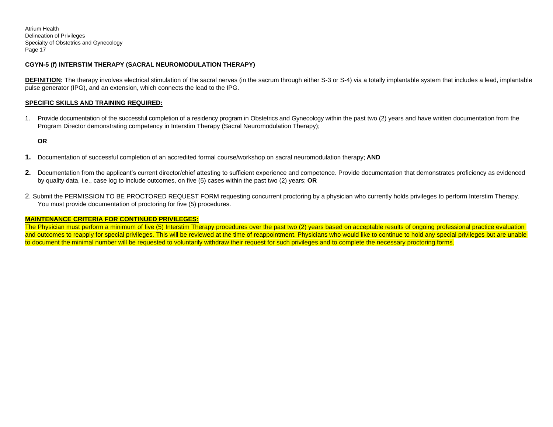## **CGYN-5 (f) INTERSTIM THERAPY (SACRAL NEUROMODULATION THERAPY)**

**DEFINITION:** The therapy involves electrical stimulation of the sacral nerves (in the sacrum through either S-3 or S-4) via a totally implantable system that includes a lead, implantable pulse generator (IPG), and an extension, which connects the lead to the IPG.

#### **SPECIFIC SKILLS AND TRAINING REQUIRED:**

1. Provide documentation of the successful completion of a residency program in Obstetrics and Gynecology within the past two (2) years and have written documentation from the Program Director demonstrating competency in Interstim Therapy (Sacral Neuromodulation Therapy);

**OR**

- **1.** Documentation of successful completion of an accredited formal course/workshop on sacral neuromodulation therapy; **AND**
- **2.** Documentation from the applicant's current director/chief attesting to sufficient experience and competence. Provide documentation that demonstrates proficiency as evidenced by quality data, i.e., case log to include outcomes, on five (5) cases within the past two (2) years; **OR**
- 2. Submit the PERMISSION TO BE PROCTORED REQUEST FORM requesting concurrent proctoring by a physician who currently holds privileges to perform Interstim Therapy. You must provide documentation of proctoring for five (5) procedures.

## **MAINTENANCE CRITERIA FOR CONTINUED PRIVILEGES:**

The Physician must perform a minimum of five (5) Interstim Therapy procedures over the past two (2) years based on acceptable results of ongoing professional practice evaluation and outcomes to reapply for special privileges. This will be reviewed at the time of reappointment. Physicians who would like to continue to hold any special privileges but are unable to document the minimal number will be requested to voluntarily withdraw their request for such privileges and to complete the necessary proctoring forms.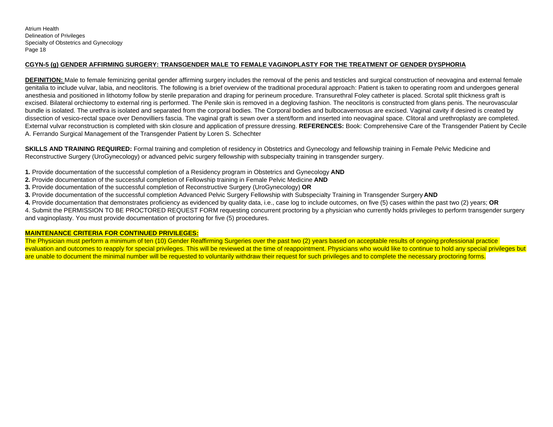## **CGYN-5 (g) GENDER AFFIRMING SURGERY: TRANSGENDER MALE TO FEMALE VAGINOPLASTY FOR THE TREATMENT OF GENDER DYSPHORIA**

**DEFINITION:** Male to female feminizing genital gender affirming surgery includes the removal of the penis and testicles and surgical construction of neovagina and external female genitalia to include vulvar, labia, and neoclitoris. The following is a brief overview of the traditional procedural approach: Patient is taken to operating room and undergoes general anesthesia and positioned in lithotomy follow by sterile preparation and draping for perineum procedure. Transurethral Foley catheter is placed. Scrotal split thickness graft is excised. Bilateral orchiectomy to external ring is performed. The Penile skin is removed in a degloving fashion. The neoclitoris is constructed from glans penis. The neurovascular bundle is isolated. The urethra is isolated and separated from the corporal bodies. The Corporal bodies and bulbocavernosus are excised. Vaginal cavity if desired is created by dissection of vesico-rectal space over Denovilliers fascia. The vaginal graft is sewn over a stent/form and inserted into neovaginal space. Clitoral and urethroplasty are completed. External vulvar reconstruction is completed with skin closure and application of pressure dressing. **REFERENCES:** Book: Comprehensive Care of the Transgender Patient by Cecile A. Ferrando Surgical Management of the Transgender Patient by Loren S. Schechter

**SKILLS AND TRAINING REQUIRED:** Formal training and completion of residency in Obstetrics and Gynecology and fellowship training in Female Pelvic Medicine and Reconstructive Surgery (UroGynecology) or advanced pelvic surgery fellowship with subspecialty training in transgender surgery.

- **1.** Provide documentation of the successful completion of a Residency program in Obstetrics and Gynecology **AND**
- **2.** Provide documentation of the successful completion of Fellowship training in Female Pelvic Medicine **AND**
- **3.** Provide documentation of the successful completion of Reconstructive Surgery (UroGynecology) **OR**
- **3.** Provide documentation of the successful completion Advanced Pelvic Surgery Fellowship with Subspecialty Training in Transgender Surgery **AND**
- **4.** Provide documentation that demonstrates proficiency as evidenced by quality data, i.e., case log to include outcomes, on five (5) cases within the past two (2) years; **OR**

4. Submit the PERMISSION TO BE PROCTORED REQUEST FORM requesting concurrent proctoring by a physician who currently holds privileges to perform transgender surgery and vaginoplasty. You must provide documentation of proctoring for five (5) procedures.

## **MAINTENANCE CRITERIA FOR CONTINUED PRIVILEGES:**

The Physician must perform a minimum of ten (10) Gender Reaffirming Surgeries over the past two (2) years based on acceptable results of ongoing professional practice evaluation and outcomes to reapply for special privileges. This will be reviewed at the time of reappointment. Physicians who would like to continue to hold any special privileges but are unable to document the minimal number will be requested to voluntarily withdraw their request for such privileges and to complete the necessary proctoring forms.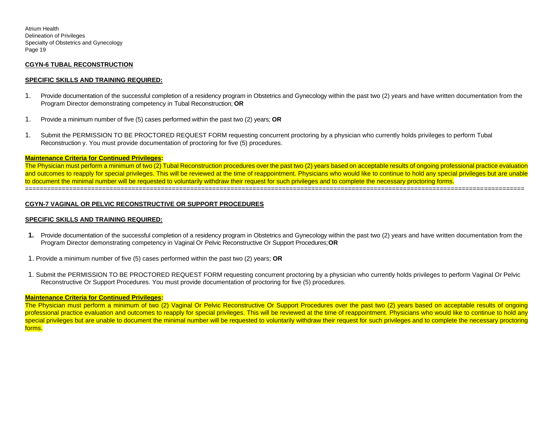## **CGYN-6 TUBAL RECONSTRUCTION**

## **SPECIFIC SKILLS AND TRAINING REQUIRED:**

- 1. Provide documentation of the successful completion of a residency program in Obstetrics and Gynecology within the past two (2) years and have written documentation from the Program Director demonstrating competency in Tubal Reconstruction; **OR**
- 1. Provide a minimum number of five (5) cases performed within the past two (2) years; **OR**
- 1. Submit the PERMISSION TO BE PROCTORED REQUEST FORM requesting concurrent proctoring by a physician who currently holds privileges to perform Tubal Reconstruction y. You must provide documentation of proctoring for five (5) procedures.

#### **Maintenance Criteria for Continued Privileges:**

The Physician must perform a minimum of two (2) Tubal Reconstruction procedures over the past two (2) years based on acceptable results of ongoing professional practice evaluation and outcomes to reapply for special privileges. This will be reviewed at the time of reappointment. Physicians who would like to continue to hold any special privileges but are unable to document the minimal number will be requested to voluntarily withdraw their request for such privileges and to complete the necessary proctoring forms. ========================================================================================================================================

## **CGYN-7 VAGINAL OR PELVIC RECONSTRUCTIVE OR SUPPORT PROCEDURES**

## **SPECIFIC SKILLS AND TRAINING REQUIRED:**

- **1.** Provide documentation of the successful completion of a residency program in Obstetrics and Gynecology within the past two (2) years and have written documentation from the Program Director demonstrating competency in Vaginal Or Pelvic Reconstructive Or Support Procedures;**OR**
- 1. Provide a minimum number of five (5) cases performed within the past two (2) years; **OR**
- 1. Submit the PERMISSION TO BE PROCTORED REQUEST FORM requesting concurrent proctoring by a physician who currently holds privileges to perform Vaginal Or Pelvic Reconstructive Or Support Procedures. You must provide documentation of proctoring for five (5) procedures.

#### **Maintenance Criteria for Continued Privileges:**

The Physician must perform a minimum of two (2) Vaginal Or Pelvic Reconstructive Or Support Procedures over the past two (2) years based on acceptable results of ongoing professional practice evaluation and outcomes to reapply for special privileges. This will be reviewed at the time of reappointment. Physicians who would like to continue to hold any special privileges but are unable to document the minimal number will be requested to voluntarily withdraw their request for such privileges and to complete the necessary proctoring forms.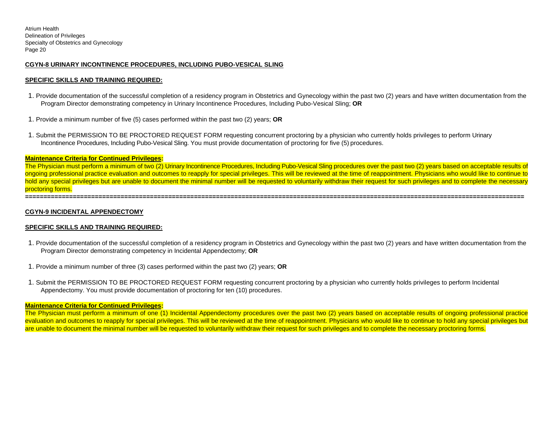## **CGYN-8 URINARY INCONTINENCE PROCEDURES, INCLUDING PUBO-VESICAL SLING**

#### **SPECIFIC SKILLS AND TRAINING REQUIRED:**

- 1. Provide documentation of the successful completion of a residency program in Obstetrics and Gynecology within the past two (2) years and have written documentation from the Program Director demonstrating competency in Urinary Incontinence Procedures, Including Pubo-Vesical Sling; **OR**
- 1. Provide a minimum number of five (5) cases performed within the past two (2) years; **OR**
- 1. Submit the PERMISSION TO BE PROCTORED REQUEST FORM requesting concurrent proctoring by a physician who currently holds privileges to perform Urinary Incontinence Procedures, Including Pubo-Vesical Sling. You must provide documentation of proctoring for five (5) procedures.

#### **Maintenance Criteria for Continued Privileges:**

The Physician must perform a minimum of two (2) Urinary Incontinence Procedures, Including Pubo-Vesical Sling procedures over the past two (2) years based on acceptable results of ongoing professional practice evaluation and outcomes to reapply for special privileges. This will be reviewed at the time of reappointment. Physicians who would like to continue to hold any special privileges but are unable to document the minimal number will be requested to voluntarily withdraw their request for such privileges and to complete the necessary proctoring forms.

**========================================================================================================================================** 

#### **CGYN-9 INCIDENTAL APPENDECTOMY**

#### **SPECIFIC SKILLS AND TRAINING REQUIRED:**

- 1. Provide documentation of the successful completion of a residency program in Obstetrics and Gynecology within the past two (2) years and have written documentation from the Program Director demonstrating competency in Incidental Appendectomy; **OR**
- 1. Provide a minimum number of three (3) cases performed within the past two (2) years; **OR**
- 1. Submit the PERMISSION TO BE PROCTORED REQUEST FORM requesting concurrent proctoring by a physician who currently holds privileges to perform Incidental Appendectomy. You must provide documentation of proctoring for ten (10) procedures.

#### **Maintenance Criteria for Continued Privileges:**

The Physician must perform a minimum of one (1) Incidental Appendectomy procedures over the past two (2) years based on acceptable results of ongoing professional practice evaluation and outcomes to reapply for special privileges. This will be reviewed at the time of reappointment. Physicians who would like to continue to hold any special privileges but are unable to document the minimal number will be requested to voluntarily withdraw their request for such privileges and to complete the necessary proctoring forms.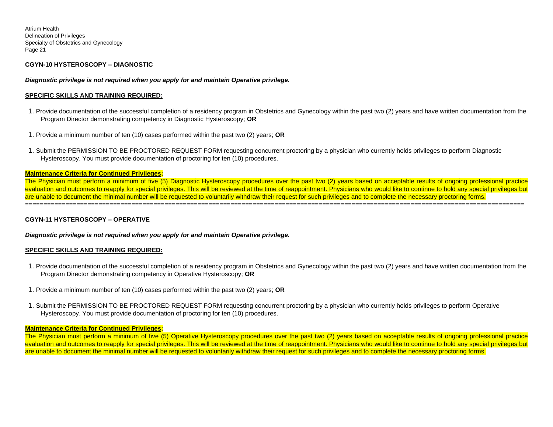## **CGYN-10 HYSTEROSCOPY – DIAGNOSTIC**

*Diagnostic privilege is not required when you apply for and maintain Operative privilege.*

## **SPECIFIC SKILLS AND TRAINING REQUIRED:**

- 1. Provide documentation of the successful completion of a residency program in Obstetrics and Gynecology within the past two (2) years and have written documentation from the Program Director demonstrating competency in Diagnostic Hysteroscopy; **OR**
- 1. Provide a minimum number of ten (10) cases performed within the past two (2) years; **OR**
- 1. Submit the PERMISSION TO BE PROCTORED REQUEST FORM requesting concurrent proctoring by a physician who currently holds privileges to perform Diagnostic Hysteroscopy. You must provide documentation of proctoring for ten (10) procedures.

========================================================================================================================================

## **Maintenance Criteria for Continued Privileges:**

The Physician must perform a minimum of five (5) Diagnostic Hysteroscopy procedures over the past two (2) years based on acceptable results of ongoing professional practice evaluation and outcomes to reapply for special privileges. This will be reviewed at the time of reappointment. Physicians who would like to continue to hold any special privileges but are unable to document the minimal number will be requested to voluntarily withdraw their request for such privileges and to complete the necessary proctoring forms.

## **CGYN-11 HYSTEROSCOPY – OPERATIVE**

*Diagnostic privilege is not required when you apply for and maintain Operative privilege.*

## **SPECIFIC SKILLS AND TRAINING REQUIRED:**

- 1. Provide documentation of the successful completion of a residency program in Obstetrics and Gynecology within the past two (2) years and have written documentation from the Program Director demonstrating competency in Operative Hysteroscopy; **OR**
- 1. Provide a minimum number of ten (10) cases performed within the past two (2) years; **OR**
- 1. Submit the PERMISSION TO BE PROCTORED REQUEST FORM requesting concurrent proctoring by a physician who currently holds privileges to perform Operative Hysteroscopy. You must provide documentation of proctoring for ten (10) procedures.

#### **Maintenance Criteria for Continued Privileges:**

The Physician must perform a minimum of five (5) Operative Hysteroscopy procedures over the past two (2) years based on acceptable results of ongoing professional practice evaluation and outcomes to reapply for special privileges. This will be reviewed at the time of reappointment. Physicians who would like to continue to hold any special privileges but are unable to document the minimal number will be requested to voluntarily withdraw their request for such privileges and to complete the necessary proctoring forms.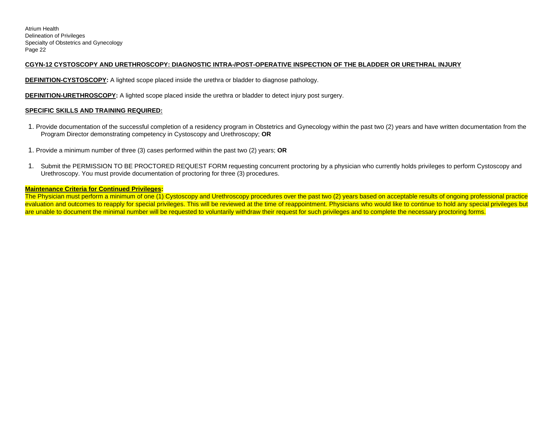## **CGYN-12 CYSTOSCOPY AND URETHROSCOPY: DIAGNOSTIC INTRA-/POST-OPERATIVE INSPECTION OF THE BLADDER OR URETHRAL INJURY**

**DEFINITION-CYSTOSCOPY:** A lighted scope placed inside the urethra or bladder to diagnose pathology.

**DEFINITION-URETHROSCOPY:** A lighted scope placed inside the urethra or bladder to detect injury post surgery.

## **SPECIFIC SKILLS AND TRAINING REQUIRED:**

- 1. Provide documentation of the successful completion of a residency program in Obstetrics and Gynecology within the past two (2) years and have written documentation from the Program Director demonstrating competency in Cystoscopy and Urethroscopy; **OR**
- 1. Provide a minimum number of three (3) cases performed within the past two (2) years; **OR**
- 1. Submit the PERMISSION TO BE PROCTORED REQUEST FORM requesting concurrent proctoring by a physician who currently holds privileges to perform Cystoscopy and Urethroscopy. You must provide documentation of proctoring for three (3) procedures.

## **Maintenance Criteria for Continued Privileges:**

The Physician must perform a minimum of one (1) Cystoscopy and Urethroscopy procedures over the past two (2) years based on acceptable results of ongoing professional practice evaluation and outcomes to reapply for special privileges. This will be reviewed at the time of reappointment. Physicians who would like to continue to hold any special privileges but are unable to document the minimal number will be requested to voluntarily withdraw their request for such privileges and to complete the necessary proctoring forms.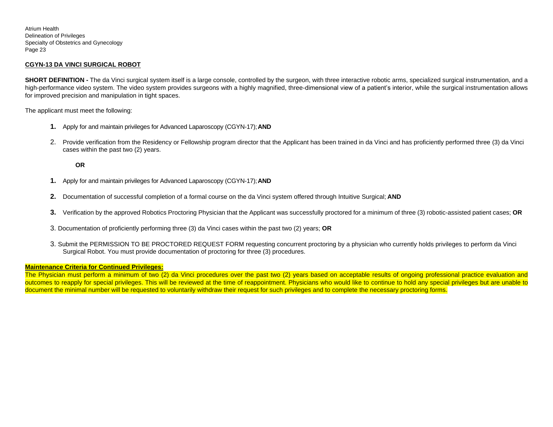## **CGYN-13 DA VINCI SURGICAL ROBOT**

**SHORT DEFINITION** - The da Vinci surgical system itself is a large console, controlled by the surgeon, with three interactive robotic arms, specialized surgical instrumentation, and a high-performance video system. The video system provides surgeons with a highly magnified, three-dimensional view of a patient's interior, while the surgical instrumentation allows for improved precision and manipulation in tight spaces.

The applicant must meet the following:

- **1.** Apply for and maintain privileges for Advanced Laparoscopy (CGYN-17);**AND**
- 2. Provide verification from the Residency or Fellowship program director that the Applicant has been trained in da Vinci and has proficiently performed three (3) da Vinci cases within the past two (2) years.

**OR**

- **1.** Apply for and maintain privileges for Advanced Laparoscopy (CGYN-17);**AND**
- **2.** Documentation of successful completion of a formal course on the da Vinci system offered through Intuitive Surgical; **AND**
- **3.** Verification by the approved Robotics Proctoring Physician that the Applicant was successfully proctored for a minimum of three (3) robotic-assisted patient cases; **OR**
- 3. Documentation of proficiently performing three (3) da Vinci cases within the past two (2) years; **OR**
- 3. Submit the PERMISSION TO BE PROCTORED REQUEST FORM requesting concurrent proctoring by a physician who currently holds privileges to perform da Vinci Surgical Robot. You must provide documentation of proctoring for three (3) procedures.

## **Maintenance Criteria for Continued Privileges:**

The Physician must perform a minimum of two (2) da Vinci procedures over the past two (2) years based on acceptable results of ongoing professional practice evaluation and outcomes to reapply for special privileges. This will be reviewed at the time of reappointment. Physicians who would like to continue to hold any special privileges but are unable to document the minimal number will be requested to voluntarily withdraw their request for such privileges and to complete the necessary proctoring forms.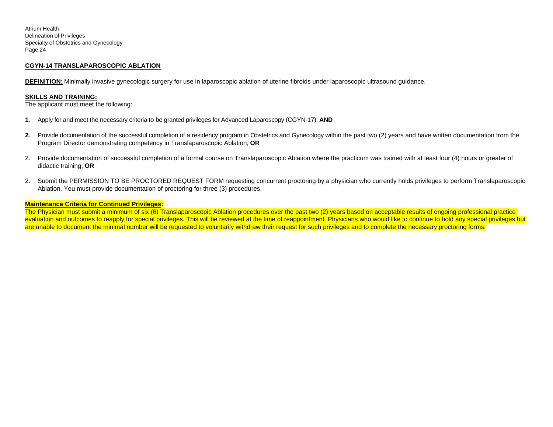## **CGYN-14 TRANSLAPAROSCOPIC ABLATION**

**DEFINITION**: Minimally invasive gynecologic surgery for use in laparoscopic ablation of uterine fibroids under laparoscopic ultrasound guidance.

#### **SKILLS AND TRAINING:**

The applicant must meet the following:

- **1.** Apply for and meet the necessary criteria to be granted privileges for Advanced Laparoscopy (CGYN-17); **AND**
- **2.** Provide documentation of the successful completion of a residency program in Obstetrics and Gynecology within the past two (2) years and have written documentation from the Program Director demonstrating competency in Translaparoscopic Ablation; **OR**
- 2. Provide documentation of successful completion of a formal course on Translaparoscopic Ablation where the practicum was trained with at least four (4) hours or greater of didactic training; **OR**
- 2. Submit the PERMISSION TO BE PROCTORED REQUEST FORM requesting concurrent proctoring by a physician who currently holds privileges to perform Translaparoscopic Ablation. You must provide documentation of proctoring for three (3) procedures.

## **Maintenance Criteria for Continued Privileges:**

The Physician must submit a minimum of six (6) Translaparoscopic Ablation procedures over the past two (2) years based on acceptable results of ongoing professional practice evaluation and outcomes to reapply for special privileges. This will be reviewed at the time of reappointment. Physicians who would like to continue to hold any special privileges but are unable to document the minimal number will be requested to voluntarily withdraw their request for such privileges and to complete the necessary proctoring forms.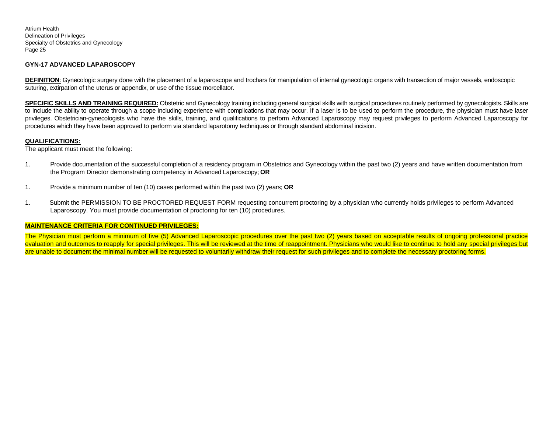## **GYN-17 ADVANCED LAPAROSCOPY**

**DEFINITION:** Gynecologic surgery done with the placement of a laparoscope and trochars for manipulation of internal gynecologic organs with transection of major vessels, endoscopic suturing, extirpation of the uterus or appendix, or use of the tissue morcellator.

**SPECIFIC SKILLS AND TRAINING REQUIRED:** Obstetric and Gynecology training including general surgical skills with surgical procedures routinely performed by gynecologists. Skills are to include the ability to operate through a scope including experience with complications that may occur. If a laser is to be used to perform the procedure, the physician must have laser privileges. Obstetrician-gynecologists who have the skills, training, and qualifications to perform Advanced Laparoscopy may request privileges to perform Advanced Laparoscopy for procedures which they have been approved to perform via standard laparotomy techniques or through standard abdominal incision.

#### **QUALIFICATIONS:**

The applicant must meet the following:

- 1. Provide documentation of the successful completion of a residency program in Obstetrics and Gynecology within the past two (2) years and have written documentation from the Program Director demonstrating competency in Advanced Laparoscopy; **OR**
- 1. Provide a minimum number of ten (10) cases performed within the past two (2) years; **OR**
- 1. Submit the PERMISSION TO BE PROCTORED REQUEST FORM requesting concurrent proctoring by a physician who currently holds privileges to perform Advanced Laparoscopy. You must provide documentation of proctoring for ten (10) procedures.

## **MAINTENANCE CRITERIA FOR CONTINUED PRIVILEGES:**

The Physician must perform a minimum of five (5) Advanced Laparoscopic procedures over the past two (2) years based on acceptable results of ongoing professional practice evaluation and outcomes to reapply for special privileges. This will be reviewed at the time of reappointment. Physicians who would like to continue to hold any special privileges but are unable to document the minimal number will be requested to voluntarily withdraw their request for such privileges and to complete the necessary proctoring forms.